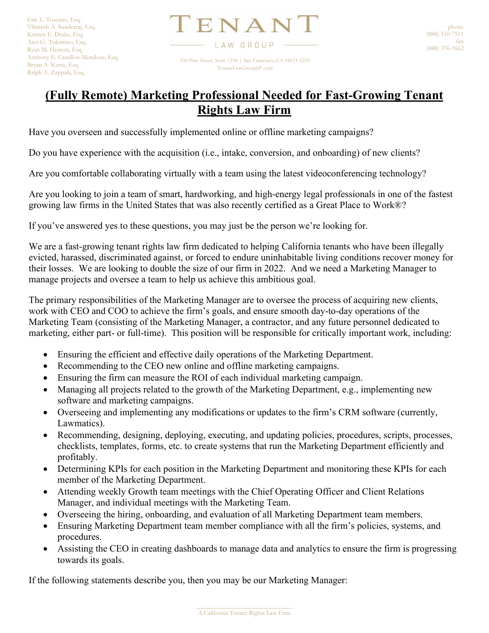TENAN<sup>'</sup> LAW GROUP 100 Pine Street, Suite 1250 | San Francisco, CA 94111-5235 TenantLawGroupSF.com

## **(Fully Remote) Marketing Professional Needed for Fast-Growing Tenant Rights Law Firm**

Have you overseen and successfully implemented online or offline marketing campaigns?

Do you have experience with the acquisition (i.e., intake, conversion, and onboarding) of new clients?

Are you comfortable collaborating virtually with a team using the latest videoconferencing technology?

Are you looking to join a team of smart, hardworking, and high-energy legal professionals in one of the fastest growing law firms in the United States that was also recently certified as a Great Place to Work®?

If you've answered yes to these questions, you may just be the person we're looking for.

We are a fast-growing tenant rights law firm dedicated to helping California tenants who have been illegally evicted, harassed, discriminated against, or forced to endure uninhabitable living conditions recover money for their losses. We are looking to double the size of our firm in 2022. And we need a Marketing Manager to manage projects and oversee a team to help us achieve this ambitious goal.

The primary responsibilities of the Marketing Manager are to oversee the process of acquiring new clients, work with CEO and COO to achieve the firm's goals, and ensure smooth day-to-day operations of the Marketing Team (consisting of the Marketing Manager, a contractor, and any future personnel dedicated to marketing, either part- or full-time). This position will be responsible for critically important work, including:

- Ensuring the efficient and effective daily operations of the Marketing Department.
- Recommending to the CEO new online and offline marketing campaigns.
- Ensuring the firm can measure the ROI of each individual marketing campaign.
- Managing all projects related to the growth of the Marketing Department, e.g., implementing new software and marketing campaigns.
- Overseeing and implementing any modifications or updates to the firm's CRM software (currently, Lawmatics).
- Recommending, designing, deploying, executing, and updating policies, procedures, scripts, processes, checklists, templates, forms, etc. to create systems that run the Marketing Department efficiently and profitably.
- Determining KPIs for each position in the Marketing Department and monitoring these KPIs for each member of the Marketing Department.
- Attending weekly Growth team meetings with the Chief Operating Officer and Client Relations Manager, and individual meetings with the Marketing Team.
- Overseeing the hiring, onboarding, and evaluation of all Marketing Department team members.
- Ensuring Marketing Department team member compliance with all the firm's policies, systems, and procedures.
- Assisting the CEO in creating dashboards to manage data and analytics to ensure the firm is progressing towards its goals.

If the following statements describe you, then you may be our Marketing Manager: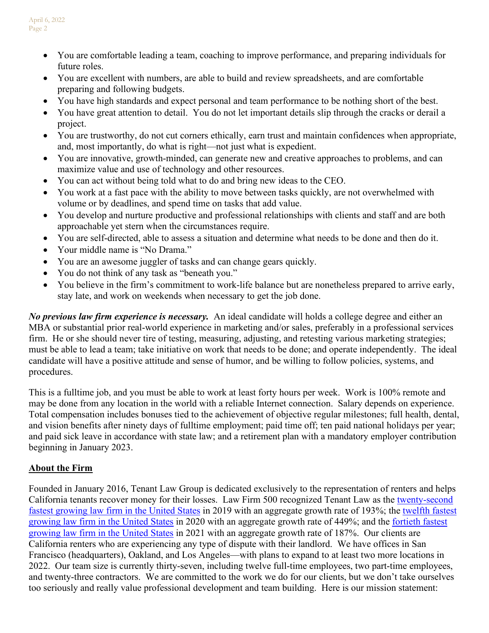- You are comfortable leading a team, coaching to improve performance, and preparing individuals for future roles.
- You are excellent with numbers, are able to build and review spreadsheets, and are comfortable preparing and following budgets.
- You have high standards and expect personal and team performance to be nothing short of the best.
- You have great attention to detail. You do not let important details slip through the cracks or derail a project.
- You are trustworthy, do not cut corners ethically, earn trust and maintain confidences when appropriate, and, most importantly, do what is right—not just what is expedient.
- You are innovative, growth-minded, can generate new and creative approaches to problems, and can maximize value and use of technology and other resources.
- You can act without being told what to do and bring new ideas to the CEO.
- You work at a fast pace with the ability to move between tasks quickly, are not overwhelmed with volume or by deadlines, and spend time on tasks that add value.
- You develop and nurture productive and professional relationships with clients and staff and are both approachable yet stern when the circumstances require.
- You are self-directed, able to assess a situation and determine what needs to be done and then do it.
- Your middle name is "No Drama."
- You are an awesome juggler of tasks and can change gears quickly.
- You do not think of any task as "beneath you."
- You believe in the firm's commitment to work-life balance but are nonetheless prepared to arrive early, stay late, and work on weekends when necessary to get the job done.

*No previous law firm experience is necessary.* An ideal candidate will holds a college degree and either an MBA or substantial prior real-world experience in marketing and/or sales, preferably in a professional services firm. He or she should never tire of testing, measuring, adjusting, and retesting various marketing strategies; must be able to lead a team; take initiative on work that needs to be done; and operate independently. The ideal candidate will have a positive attitude and sense of humor, and be willing to follow policies, systems, and procedures.

This is a fulltime job, and you must be able to work at least forty hours per week. Work is 100% remote and may be done from any location in the world with a reliable Internet connection. Salary depends on experience. Total compensation includes bonuses tied to the achievement of objective regular milestones; full health, dental, and vision benefits after ninety days of fulltime employment; paid time off; ten paid national holidays per year; and paid sick leave in accordance with state law; and a retirement plan with a mandatory employer contribution beginning in January 2023.

## **About the Firm**

Founded in January 2016, Tenant Law Group is dedicated exclusively to the representation of renters and helps California tenants recover money for their losses. Law Firm 500 recognized Tenant Law as the [twenty-second](https://lawfirm500.com/2019-honoree-tenant-law-group/)  [fastest growing law firm in the United States](https://lawfirm500.com/2019-honoree-tenant-law-group/) in 2019 with an aggregate growth rate of 193%; the [twelfth fastest](https://lawfirm500.com/2020-honoree-tenant-law-group-pc/)  [growing law firm in the United States](https://lawfirm500.com/2020-honoree-tenant-law-group-pc/) in 2020 with an aggregate growth rate of 449%; and the [fortieth fastest](https://lawfirm500.com/2021-honoree-tenant-law-group-pc/)  [growing law firm in the United States](https://lawfirm500.com/2021-honoree-tenant-law-group-pc/) in 2021 with an aggregate growth rate of 187%. Our clients are California renters who are experiencing any type of dispute with their landlord. We have offices in San Francisco (headquarters), Oakland, and Los Angeles—with plans to expand to at least two more locations in 2022. Our team size is currently thirty-seven, including twelve full-time employees, two part-time employees, and twenty-three contractors. We are committed to the work we do for our clients, but we don't take ourselves too seriously and really value professional development and team building. Here is our mission statement: